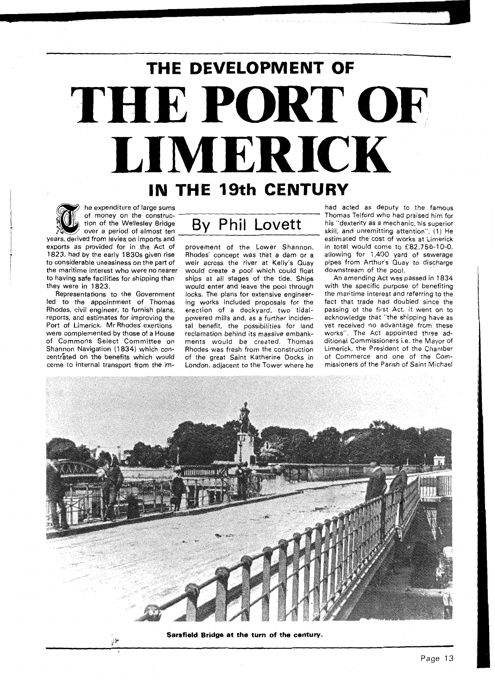## **THE DEVELOPMENT OF THE PORT OF LIMERICK IN THE 19th CENTURY**

he expenditure of large sums of money on the construcyears, derived from levies on imports and exports as provided for in the Act of provement of the Lower Shannon. to considerable uneasiness on the part of weir across the river at Kelly's Quay

led to the appointment of Thomas ing works included proposals for the Rhodes, civil engineer, to furnish plans, erection of a dockyard, two tidalreports, and estimates for improving the powered mills and, as a further inciden-Port of Limerick. Mr Rhodes' exertions tal benefit, the possibilities for land were complemented by those of a House reclamation behind its massive embankof Commons Select Committee on ments would be created. Thomas Shannon Navigation (1834) which con-<br>Rhodes was fresh from the construction centrated on the benefits which would of the great Saint Katherine Docks in

## of money on the construc-<br>tion of the Wellesley Bridge By Phil Lovett

1823, had by the early 1830s given rise Rhodes' concept was that a dam or a the maritime interest who were no nearer would create a pool which could float to having safe facilities for shipping than ships at all stages of the tide. Ships they were in 1823. would enter and leave the pool through Representations to the Government locks. The plans for extensive engineercome to internal transport from the im- London, adjacent to the Tower where he

had acted as deputy to the famous Thomas Telford who had praised him for his "dexterity as a mechanic, his superior skill, and unremitting attention". (1) He estimated the cost of works at Limerick in total would come to £82,756-10-0, allowing for 1,400 yard of sewerage pipes from Arthur's Quay to discharge downstream of the pool.

An amending Act was passed in 1834 with the specific purpose of benefiting the maritime interest and referring to the fact that trade had doubled since the passing of the first Act, it went on to acknowledge that "the shipping have as yet received no advantage from these works". The Act appointed three additional Commissioners i.e. the Mayor of Limerick, the President of the Chamber of Commerce and one of the Commissioners of the Parish of Saint Michael



Sarsfield Bridge at the turn of the century.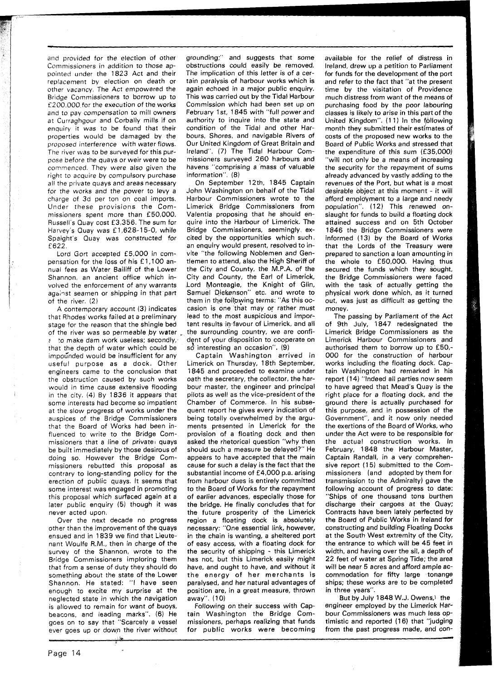and provided for the election of other Commissioners in addition to those appointed under the 1823 Act and their replacement by election on death or other vacancy. The Act empowered the Bridge Commissioners to borrow up to f 200.000,for the execution of the works and to pay compensation to mill owners at Curraghgour and Corbally mills if on enquiry it was to be found that their properties would be damaged by the proposed interference with water flows. The river was to be surveyed for this purpose before the quays or weir were to be commenced. They were also given the right to acquire by compulsory purchase all the private quays and areas necessary for the works and the power to levy a charge of 3d per ton on coal imports. Under these provisions the Commissioners spent more than €50,000. Russell's Quay cost €3,356. The sum for Harvey's Quay was £1,628-15-0, while Spaight's Quay was constructed for f 622.

Lord Gort accepted £5,000 in com-<br>pensation for the loss of his £1,100 annual fees as Water Bailiff of the Lower Shannon, an ancient office which involved the enforcement of any warrants against seamen or shipping in that part of the river. (2)

A contemporary account (3) indicates that Rhodes works failed at a preliminary stage for the reason that the shingle bed of the river was so permeable by water to make dam work useless; secondly,. that the depth of water which could be impounded would be insufficient for any useful purpose as a dock. Other engineers came to the conclusion that the obstruction caused by such works would in time cause extensive flooding in the city. (4) By 1836 it appears that some interests had become so impatient at the slow progress of works under the auspices of the Bridge Commissioners that the Board of Works had been influenced to write to the Bridge Commissioners that a line of private $+$  quays be built immediately by those desirous of doing so. However the Bridge Commissioners rebutted this proposal as contrary to long-standing policy for the erection of public quays. It seems that some interest was engaged in promoting this proposal which surfaced again at a later public enquiry (5) though it was never acted upon.

Over the next decade no progress other than the improvement of the quays ensued and in 1839 we find that Lieutenant Woulfe R.M., then in charge of the survey of the Shannon, wrote to the Bridge Commissioners imploring them that from a sense of duty they should do something about the state of the Lower Shannon. He stated: "I have seen enough to excite my surprise at the neglected state in which the navigation is allowed to remain for want of buoys, beacons, and leading marks". **(6)** He goes on to say that "Scarcely a vessel ever goes up or doyn the river without grounding;" and suggests that some obstructions could easily be removed. The implication of this letter is of a certain paralysis of harbour works which is again echoed in a major public enquiry. This was carried out by the Tidal Harbour Commission which had been set up on February 1st, 1845 with "full power and authority to inquire into the state and condition of the Tidal and other Harbours. Shores, and navigable Rivers of Our United Kingdom of Great Britain and Ireland". (7) The Tidal Harbour Commissioners surveyed 260 harbours and havens "comprising a mass of valuable information". (8)

On September 12th. 1845 Captain John Washington on behalf of the Tidal Harbour Commissioners wrote to the Limerick Bridge Commissioners from Valentia proposing that he should enquire into the Harbour of Limerick. The Bridge Commissioners, seemingly excited by the opportunities which such, an enquiry would present, resolved to invite "the following Noblemen and Gentlemen to attend, also the High Sheriff of the City and County, the M.P.A. of the City and County, the Earl of Limerick, Lord Monteagle, the Knight of Glin, Samuel Diekenson" etc. and wrote to them in the following terms: "As this occasion is one that may or rather must lead to the most auspicious and important results in-favour of Limerick, and all the surrounding country, we are confident of your disposition to cooperate on so interesting an occasion". (9)

Captain Washington arrived in Limerick on Thursday, 18th September, 1845 and proceeded to examine under oath the secretary, the collector, the harbour master, the engineer and principal pilots as well as the vice-president of the Chamber of Commerce. In his subsequent report he gives every indication of being totally overwhelmed by the arguments presented in Limerick for the provision of a floating dock and then asked the rhetorical question "why then should such a measure be delayed?" He appears to have accepted that the main cause for such a delay is the fact that the substantial income of £4,000 p.a. arising from harbour dues is entirely committed to the Board of Works for the repayment of earlier advances, especially those for the bridge. He finally concludes that for the future prosperity of the Limerick region a floating dock is absolutely necessary: "One essential link, however, in the chain is wanting, a sheltered port of easy access, with a floating dock for the security of shipping - this Limerick has not, but this Limerick easily might have, and ought to have, and without it the energy of her merchants is paralysed, and her natural advantages of position are, in a great measure, thrown away". (10)

Following on their success with Captain Washington the Bridge Commissioners, perhaps realizing that funds for public works were becoming available for the relief of distress in Ireland, drew up a petition to Parliament for funds for the development of the port and refer to the fact that "at the present time by the visitation of Providence much distress from want of the means of purchasing food by the poor labouring classes is likely to arise in this part of the United Kingdom". (11) In the following month they submitted their estimates of costs of the proposed new works to the Board of Public Works and stressed that the expenditure of this sum (£35,000) "will not only be a means of increasing the security for the repayment of sums already advanced by vastly adding to the revenues of the Port, but what is a most desirable object at this moment - it will afford employment to a large and needy population". (12) This renewed onslaught for funds to build a floating dock attained success and on 5th October 1846 the Bridge Commissioners were informed (13) by the Board of Works that the Lords of the Treasury were prepared to sanction a loan amounting in the whole to €50,000. Having thus secured the funds which they sought, the Bridge Commissioners were faced with the task of actually getting the physical work done which, as it turned out, was just as difficult as getting the money.

The passing by Parliament of the Act of 9th July, 1847 redesignated the Limerick Bridge Commissioners as the Limerick Harbour Commissioners and authorised them to borrow up to £50,- 000 for the construction of harbour works including the floating dock. Captain Washington had remarked in his report (14) "Indeed all parties now seem to have agreed that Mead's Quay is the right place for a floating dock, and the ground there is actually purchased for this purpose, and in possession of the Government", and it now only needed the exertions of the Board of Works, who under the Act were to be responsible for the actual construction works. In February, 1848 the Harbour Master, Captain Randall, in a very comprehensive report (15) submitted to the Commissioners (and adopted by them for transmission to the Admiralty) gave the following account of progress to date: "Ships of one thousand tons burthen discharge their cargoes at the Quay; Contracts have been lately perfected by the Board of Public Works in Ireland for constructing and building Floating Docks at the South West extremity of the City, the entrance to which will be 45 feet in width, and having over the sil, a depth of 22 feet of water at Spring Tide; the area will be near 5 acres and afford ample accommodation for fifty large tonange ships; these works are to be completed in three years".

But by July 1848 W.J. Owens,) the engineer employed by the Limerick Harbour Commissioners was much less optimistic and reported (16) that "judging from the past progress made, and con-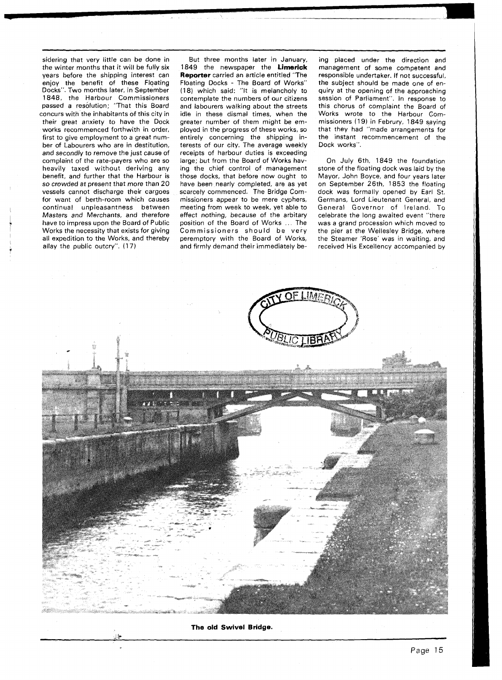sidering that very little can be done in the winter months that it will be fully six years before the shipping interest can enjoy the benefit of these Floating Docks". Two months later, in September 1848, the Harbour Commissioners passed a resolution; "That this Board concurs with the inhabitants of this city in their great anxiety to have the Dock works recommenced forthwith in order, first to give employment to a great number of Labourers who are in destitution, and secondly to remove the just cause of complaint of the rate-payers who are so heavily taxed without deriving any benefit, and further that the Harbour is so crowded at present that more than 20 vessels cannot discharge their cargoes for want of berth-room which causes continual unpleasantness between Masters and Merchants, and therefore have to impress upon the Board of Public Works the necessity that exists for giving all expedition to the Works, and thereby allay the public outcry". (17)

%, **Lk** 

But three months later in January, 1849 the newspaper the **Limerick Reporter** carried an article entitled "The Floating Docks - The Board of Works" (18) which said: "It is melancholy to contemplate the numbers of our citizens and labourers walking about the streets idle in these dismal times, when the greater number of them might be employed in the progress of these works, so entirely concerning the shipping interests of our city. The average weekly receipts of harbour duties is exceeding large; but from the Board of Works having the chief control of management those docks, that before now ought to have been nearly completed, are as yet scarcely commenced. The Bridge Commissioners appear to be mere cyphers, meeting from week to week, yet able to effect nothing, because of the arbitary position of the Board of Works .. The Commissioners should be very peremptory with the Board of Works, and firmly demand their immediately being placed under the direction and management of some competent and responsible undertaker. If not successful, the subject should be made one of enquiry at the opening of the approaching session of Parliament". In response to this chorus of complaint the Board of Works wrote to the Harbour Commissioners (19) in Februry, 1849 saying that they had "made arrangements for the instant recommencement of the Dock works".

On July 6th, 1849 the foundation stone of the floating dock was laid by the Mayor, John Boyce, and four years later on September 26th, 1853 the floating dock was formally opened by Earl St. Germans, Lord Lieutenant General, and General Governor of Ireland. To celebrate the long awaited event "there was a grand procession which moved to the pier at the Wellesley Bridge, where the Steamer 'Rose' was in waiting, and received His Excellency accompanied by



**The old Swivel Bridge.**